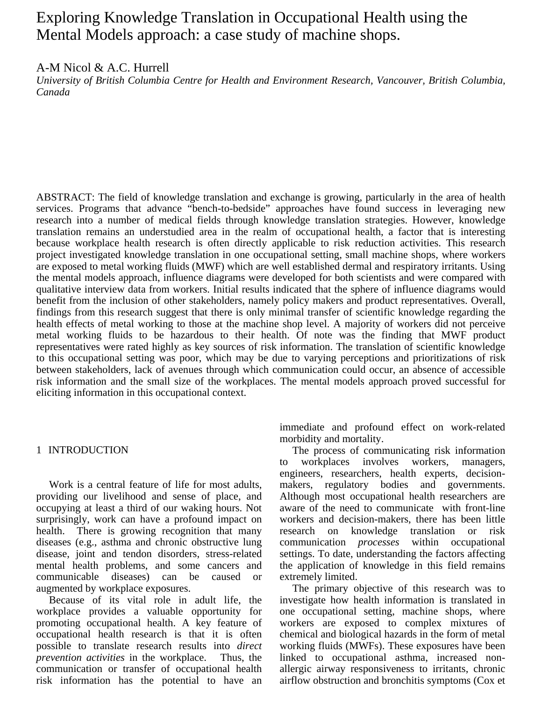# Exploring Knowledge Translation in Occupational Health using the Mental Models approach: a case study of machine shops.

# A-M Nicol & A.C. Hurrell

*University of British Columbia Centre for Health and Environment Research, Vancouver, British Columbia, Canada* 

ABSTRACT: The field of knowledge translation and exchange is growing, particularly in the area of health services. Programs that advance "bench-to-bedside" approaches have found success in leveraging new research into a number of medical fields through knowledge translation strategies. However, knowledge translation remains an understudied area in the realm of occupational health, a factor that is interesting because workplace health research is often directly applicable to risk reduction activities. This research project investigated knowledge translation in one occupational setting, small machine shops, where workers are exposed to metal working fluids (MWF) which are well established dermal and respiratory irritants. Using the mental models approach, influence diagrams were developed for both scientists and were compared with qualitative interview data from workers. Initial results indicated that the sphere of influence diagrams would benefit from the inclusion of other stakeholders, namely policy makers and product representatives. Overall, findings from this research suggest that there is only minimal transfer of scientific knowledge regarding the health effects of metal working to those at the machine shop level. A majority of workers did not perceive metal working fluids to be hazardous to their health. Of note was the finding that MWF product representatives were rated highly as key sources of risk information. The translation of scientific knowledge to this occupational setting was poor, which may be due to varying perceptions and prioritizations of risk between stakeholders, lack of avenues through which communication could occur, an absence of accessible risk information and the small size of the workplaces. The mental models approach proved successful for eliciting information in this occupational context.

#### 1 INTRODUCTION

Work is a central feature of life for most adults, providing our livelihood and sense of place, and occupying at least a third of our waking hours. Not surprisingly, work can have a profound impact on health. There is growing recognition that many diseases (e.g., asthma and chronic obstructive lung disease, joint and tendon disorders, stress-related mental health problems, and some cancers and communicable diseases) can be caused or augmented by workplace exposures.

Because of its vital role in adult life, the workplace provides a valuable opportunity for promoting occupational health. A key feature of occupational health research is that it is often possible to translate research results into *direct prevention activities* in the workplace. Thus, the communication or transfer of occupational health risk information has the potential to have an

immediate and profound effect on work-related morbidity and mortality.

The process of communicating risk information to workplaces involves workers, managers, engineers, researchers, health experts, decisionmakers, regulatory bodies and governments. Although most occupational health researchers are aware of the need to communicate with front-line workers and decision-makers, there has been little research on knowledge translation or risk communication *processes* within occupational settings. To date, understanding the factors affecting the application of knowledge in this field remains extremely limited.

The primary objective of this research was to investigate how health information is translated in one occupational setting, machine shops, where workers are exposed to complex mixtures of chemical and biological hazards in the form of metal working fluids (MWFs). These exposures have been linked to occupational asthma, increased nonallergic airway responsiveness to irritants, chronic airflow obstruction and bronchitis symptoms (Cox et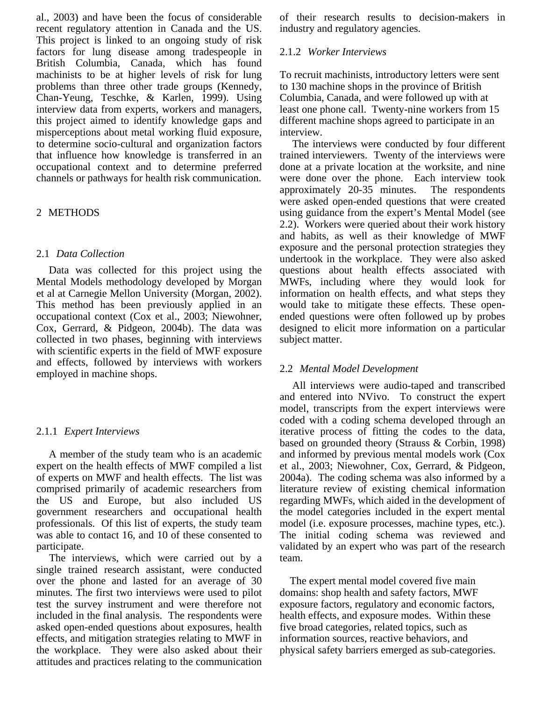al., 2003) and have been the focus of considerable recent regulatory attention in Canada and the US. This project is linked to an ongoing study of risk factors for lung disease among tradespeople in British Columbia, Canada, which has found machinists to be at higher levels of risk for lung problems than three other trade groups (Kennedy, Chan-Yeung, Teschke, & Karlen, 1999). Using interview data from experts, workers and managers, this project aimed to identify knowledge gaps and misperceptions about metal working fluid exposure, to determine socio-cultural and organization factors that influence how knowledge is transferred in an occupational context and to determine preferred channels or pathways for health risk communication.

### 2 METHODS

#### 2.1 *Data Collection*

Data was collected for this project using the Mental Models methodology developed by Morgan et al at Carnegie Mellon University (Morgan, 2002). This method has been previously applied in an occupational context (Cox et al., 2003; Niewohner, Cox, Gerrard, & Pidgeon, 2004b). The data was collected in two phases, beginning with interviews with scientific experts in the field of MWF exposure and effects, followed by interviews with workers employed in machine shops.

#### 2.1.1 *Expert Interviews*

A member of the study team who is an academic expert on the health effects of MWF compiled a list of experts on MWF and health effects. The list was comprised primarily of academic researchers from the US and Europe, but also included US government researchers and occupational health professionals. Of this list of experts, the study team was able to contact 16, and 10 of these consented to participate.

The interviews, which were carried out by a single trained research assistant, were conducted over the phone and lasted for an average of 30 minutes. The first two interviews were used to pilot test the survey instrument and were therefore not included in the final analysis. The respondents were asked open-ended questions about exposures, health effects, and mitigation strategies relating to MWF in the workplace. They were also asked about their attitudes and practices relating to the communication

of their research results to decision-makers in industry and regulatory agencies.

#### 2.1.2 *Worker Interviews*

To recruit machinists, introductory letters were sent to 130 machine shops in the province of British Columbia, Canada, and were followed up with at least one phone call. Twenty-nine workers from 15 different machine shops agreed to participate in an interview.

would take to mitigate these effects. These openended questions were often followed up by probes designed to elicit more information on a particular The interviews were conducted by four different trained interviewers. Twenty of the interviews were done at a private location at the worksite, and nine were done over the phone. Each interview took approximately 20-35 minutes. The respondents were asked open-ended questions that were created using guidance from the expert's Mental Model (see 2.2). Workers were queried about their work history and habits, as well as their knowledge of MWF exposure and the personal protection strategies they undertook in the workplace. They were also asked questions about health effects associated with MWFs, including where they would look for information on health effects, and what steps they subject matter.

#### 2.2 *Mental Model Development*

model (i.e. exposure processes, machine types, etc.). The initial coding schem a was reviewed and validated by an expert who was part of the research All interviews were audio-taped and transcribed and entered into NVivo. To construct the expert model, transcripts from the expert interviews were coded with a coding schema developed through an iterative process of fitting the codes to the data, based on grounded theory (Strauss & Corbin, 1998) and informed by previous mental models work (Cox et al., 2003; Niewohner, Cox, Gerrard, & Pidgeon, 2004a). The coding schema was also informed by a literature review of existing chemical information regarding MWFs, which aided in the development of the model categories included in the expert mental team.

domains: shop health and safety factors, MWF five broad categories, re lated topics, such as The expert mental model covered five main exposure factors, regulatory and economic factors, health effects, and exposure modes. Within these information sources, reactive behaviors, and physical safety barriers emerged as sub-categories.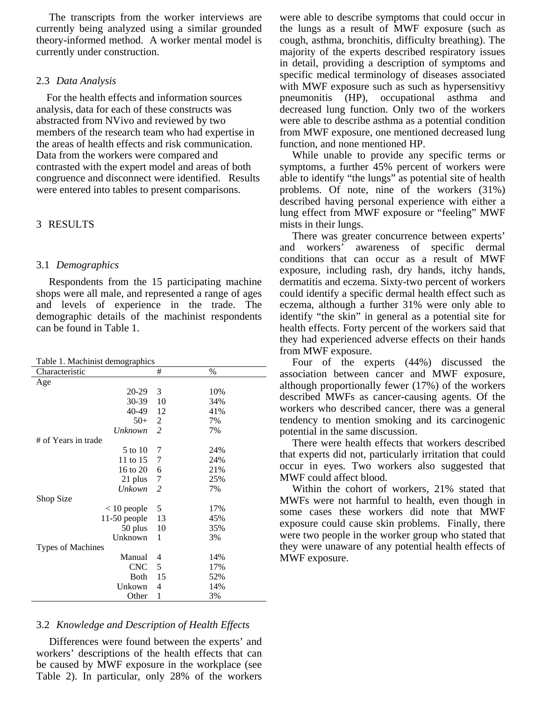The transcripts from the worker interviews are currently being analyzed using a similar grounded theory-informed method. A worker mental model is currently under construction.

### 2.3 *Data Analysis*

members of the research team who had expertise in the areas of health effects and risk communication. Data from the workers were compared and contrasted with the expert model and areas of both congruence and disconnect were identified. Results were entered into tables to present comparisons. For the health effects and information sources analysis, data for each of these constructs was abstracted from NVivo and reviewed by two

# 3 RESULTS

# 3.1 *Demographics*

Respondents from the 15 participating machine shops were all male, and represented a range of ages and levels of experience in the trade. The demographic details of the machinist respondents can be found in Tabl e 1.

| Characteristic           | #              | %   |
|--------------------------|----------------|-----|
| Age                      |                |     |
| 20-29                    | 3              | 10% |
| 30-39                    | 10             | 34% |
| 40-49                    | - 12           | 41% |
| $50+$                    | 2              | 7%  |
| Unknown                  | $\overline{2}$ | 7%  |
| # of Years in trade      |                |     |
| 5 to 10                  | 7              | 24% |
| 11 to 15                 | 7              | 24% |
| 16 to 20                 | 6              | 21% |
| 21 plus                  | $\overline{7}$ | 25% |
| Unkown                   | 2              | 7%  |
| Shop Size                |                |     |
| $< 10$ people            | 5              | 17% |
| $11-50$ people           | 13             | 45% |
| 50 plus                  | 10             | 35% |
| Unknown                  | 1              | 3%  |
| <b>Types of Machines</b> |                |     |
| Manual                   | 4              | 14% |
| <b>CNC</b>               | 5              | 17% |
| <b>B</b> oth             | 15             | 52% |
| Unkown                   | $\overline{4}$ | 14% |
| Other                    | 1              | 3%  |

# 3.2 *Knowledge and Description of Health Effects*

Differences were found between the experts' and workers' descriptions of the health effects that can be caused by MWF exposure in the workplace (see Table 2). In particular, only 28% of the workers were able to describe symptoms that could occur in the lungs as a result of MWF exposure (such as cough, asthma, bronchitis, difficulty breathing). The majority of the experts described respiratory issues in detail, providing a description of symptoms and specific medical terminology of diseases associated with MWF exposure such as such as hypersensitivy pneumonitis (HP), occupational asthma and decreased lung function. Only two of the workers were able to describe asthma as a potential condition from MWF exposure, one mentioned decreased lung function, and none mentioned HP.

While unable to provide any specific terms or symptoms, a further 45% percent of workers were able to identify "the lungs" as potential site of health problems. Of note, nine of the workers (31%) described having personal experience with either a lung effect from MWF exposure or "feeling" MWF mists in their lungs.

There was greater concurrence between experts' and workers' awareness of specific dermal conditions that can occur as a result of MWF exposure, including rash, dry hands, itchy hands, dermatitis and eczema. Sixty-two percent of workers could identify a specific dermal health effect such as eczema, although a further 31% were only able to identify "the skin" in general as a potential site for health effects. Forty percent of the workers said that they had experienced adverse effects on their hands from MWF exposure.

Four of the experts (44%) discussed the association between cancer and MWF exposure, although proportionally fewer (17%) of the workers described MWFs as cancer-causing agents. Of the workers who described cancer, there was a general tendency to mention smoking and its carcinogenic potential in the same discussion.

There were health effects that workers described that experts did not, particularly irritation that could occur in eyes. Two workers also suggested that MWF could affect blood.

Within the cohort of workers, 21% stated that MWFs were not harmful to health, even though in some cases these workers did note that MWF exposure could cause skin problems. Finally, there were two people in the worker group who stated that they were unaware of any potential health effects of MWF exposure.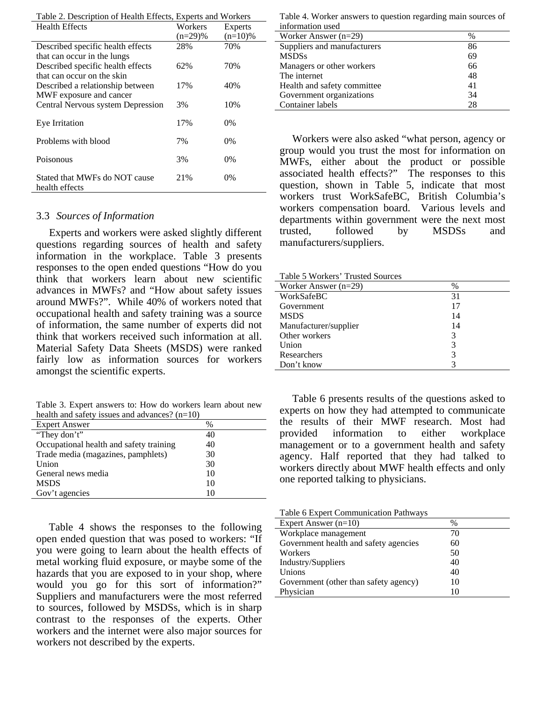Table 2. Description of Health Effects, Experts and Workers

| <b>Health Effects</b>             | Workers    | <b>Experts</b> |
|-----------------------------------|------------|----------------|
|                                   | $(n=29)\%$ | $(n=10)\%$     |
| Described specific health effects | 28%        | 70%            |
| that can occur in the lungs       |            |                |
| Described specific health effects | 62%        | 70%            |
| that can occur on the skin        |            |                |
| Described a relationship between  | 17%        | 40%            |
| MWF exposure and cancer           |            |                |
| Central Nervous system Depression | 3%         | 10%            |
|                                   |            |                |
| Eye Irritation                    | 17%        | 0%             |
|                                   |            |                |
| Problems with blood               | 7%         | 0%             |
| Poisonous                         | 3%         | 0%             |
|                                   |            |                |
| Stated that MWFs do NOT cause     | 21%        | 0%             |
| health effects                    |            |                |
|                                   |            |                |

#### 3.3 *Sources of Information*

Experts and workers were asked slightly different questions regarding sources of health and safety information in the workplace. Table 3 presents responses to the open ended questions "How do you think that workers learn about new scientific advances in MWFs? and "How about safety issues around MWFs?". While 40% of workers noted that occupational health and safety training was a source of information, the same number of experts did not think that workers received such information at all. Material Safety Data Sheets (MSDS) were ranked fairly low as information sources for workers amongst the scientific experts.

Table 3. Expert answers to: How do workers learn about new health and safety issues and advances?  $(n=10)$ 

| <b>Expert Answer</b>                    | $\%$ |
|-----------------------------------------|------|
| "They don't"                            | 40   |
| Occupational health and safety training | 40   |
| Trade media (magazines, pamphlets)      | 30   |
| Union                                   | 30   |
| General news media                      | 10   |
| <b>MSDS</b>                             | 10   |
| Gov't agencies                          | 10   |

Table 4 shows the responses to the following open ended question that was posed to workers: "If you were going to learn about the health effects of metal working fluid exposure, or maybe some of the hazards that you are exposed to in your shop, where would you go for this sort of information?" Suppliers and manufacturers were the most referred to sources, followed by MSDSs, which is in sharp contrast to the responses of the experts. Other workers and the internet were also major sources for workers not described by the experts.

Table 4. Worker answers to question regarding main sources of information used

| Worker Answer $(n=29)$      | $\%$ |
|-----------------------------|------|
| Suppliers and manufacturers | 86   |
| <b>MSDSs</b>                | 69   |
| Managers or other workers   | 66   |
| The internet                | 48   |
| Health and safety committee | 41   |
| Government organizations    | 34   |
| Container labels            | 28   |

Workers were also asked "what person, agency or group would you trust the most for information on MWFs, either about the product or possible associated health effects?" The responses to this question, shown in Table 5, indicate that most workers trust WorkSafeBC, British Columbia's workers compensation board. Various levels and departments within government were the next most trusted, followed by MSDSs and manufacturers/suppliers.

Table 5 Workers' Trusted Sources

| Worker Answer $(n=29)$ | $\%$ |  |
|------------------------|------|--|
| WorkSafeBC             | 31   |  |
| Government             | 17   |  |
| <b>MSDS</b>            | 14   |  |
| Manufacturer/supplier  | 14   |  |
| Other workers          | 3    |  |
| Union                  | 3    |  |
| Researchers            |      |  |
| Don't know             |      |  |
|                        |      |  |

Table 6 presents results of the questions asked to experts on how they had attempted to communicate the results of their MWF research. Most had provided information to either workplace management or to a government health and safety agency. Half reported that they had talked to workers directly about MWF health effects and only one reported talking to physicians.

Table 6 Expert Communication Pathways

| Expert Answer $(n=10)$                | $\%$ |  |
|---------------------------------------|------|--|
| Workplace management                  | 70   |  |
| Government health and safety agencies | 60   |  |
| Workers                               | 50   |  |
| Industry/Suppliers                    | 40   |  |
| Unions                                | 40   |  |
| Government (other than safety agency) | 10   |  |
| Physician                             |      |  |
|                                       |      |  |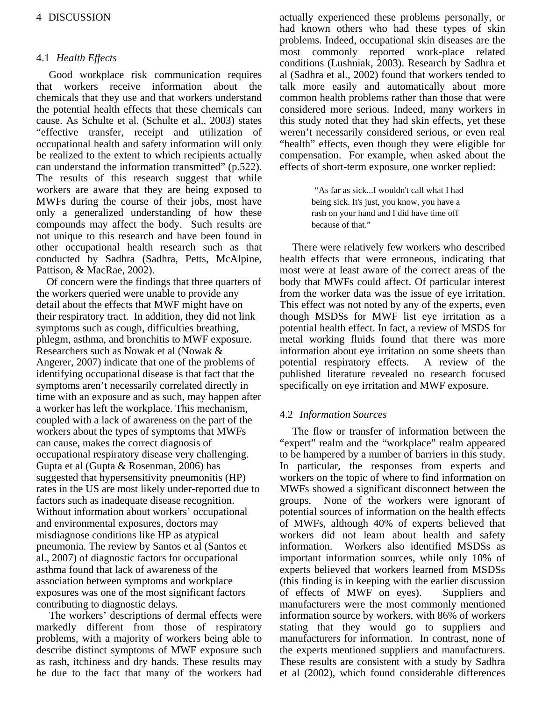# 4 DISCUSSION

# 4.1 *Health Effects*

Good workplace risk communication requires that workers receive information about the chemicals that they use and that workers understand the potential health effects that these chemicals can cause. As Schulte et al. (Schulte et al., 2003) states "effective transfer, receipt and utilization of occupational health and safety information will only be realized to the extent to which recipients actually can understand the information transmitted" (p.522). The results of this research suggest that while MWFs during the course of their jobs, most have not unique to this research and have been found in other occupational health research such as that , conducted by Sadhra (Sadhra, Petts, McAlpine workers are aware that they are being exposed to only a generalized understanding of how these compounds may affect the body. Such results are Pattison, & MacRae, 2002).

workers about the types of symptoms that MWFs suggested that hypersensitivity pneumonitis (HP) rates in the US are most likely under-reported due to Of concern were the findings that three quarters of the workers queried were unable to provide any detail about the effects that MWF might have on their respiratory tract. In addition, they did not link symptoms such as cough, difficulties breathing, phlegm, asthma, and bronchitis to MWF exposure. Researchers such as Nowak et al (Nowak & Angerer, 2007) indicate that one of the problems of identifying occupational disease is that fact that the symptoms aren't necessarily correlated directly in time with an exposure and as such, may happen after a worker has left the workplace. This mechanism, coupled with a lack of awareness on the part of the can cause, makes the correct diagnosis of occupational respiratory disease very challenging. Gupta et al (Gupta & Rosenman, 2006) has factors such as inadequate disease recognition. Without information about worker s' occupational and environmental exposures, doctors may misdiagnose conditions like HP as atypical pneumonia. The review by Santos et al (Santos et al., 2007) of diagnostic factors for occupational asthma found that lack of awareness of the association between symptoms and workplace exposures was one of the most significant factors contributing to diagnostic delays.

The workers' descriptions of dermal effects were markedly different from those of respiratory problems, with a majority of workers being able to describe distinct symptoms of MWF exposure such as rash, itchiness and dry hands. These results may be due to the fact that many of the workers had

conditions (Lushniak, 2003). Research by Sadhra et al (Sadhra et al., 2002) found that workers tended to talk more easily and automatically about more common health problems rather than those that were considered more serious. Indeed, many workers in weren't necessarily considered serious, or even real actually experienced these problems personally, or had known others who had these types of skin problems. Indeed, occupational skin diseases are the most commonly reported work-place related this study noted that they had skin effects, yet these "health" effects, even though they were eligible for compensation. For example, when asked about the effects of short-term exposure, one worker replied:

> *"*As far as sick...I wouldn't call what I had being sick. It's just, you know, you have a rash on your hand and I did have time off because of that."

body that MWFs could affect. Of particular interest from the worker data was the issue of eye irritation. This effect was not noted by any of the experts, even There were relatively few workers who described health effects that were erroneous, indicating that most were at least aware of the correct areas of the though MSDSs for MWF list eye irritation as a potential health effect. In fact, a review of MSDS for metal working fluids found that there was more information about eye irritation on some sheets than potential respiratory effects. A review of the published literature revealed no research focused specifically on eye irritation and MWF exposure.

# 4.2 *Information Sources*

The flow or transfer of information between the "expert" realm and the "workplace" realm appeared to be hampered by a number of barriers in this study. In particular, the responses from experts and workers on the topic of where to find information on MWFs showed a significant disconnect between the groups. None of the workers were ignorant of potential sources of information on the health effects of MWFs, although 40% of experts believed that workers did not learn about health and safety information. Workers also identified MSDSs as important information sources, while only 10% of experts believed that workers learned from MSDSs (this finding is in keeping with the earlier discussion of effects of MWF on eyes). Suppliers and manufacturers were the most commonly mentioned information source by workers, with 86% of workers stating that they would go to suppliers and manufacturers for information. In contrast, none of the experts mentioned suppliers and manufacturers. These results are consistent with a study by Sadhra et al (2002), which found considerable differences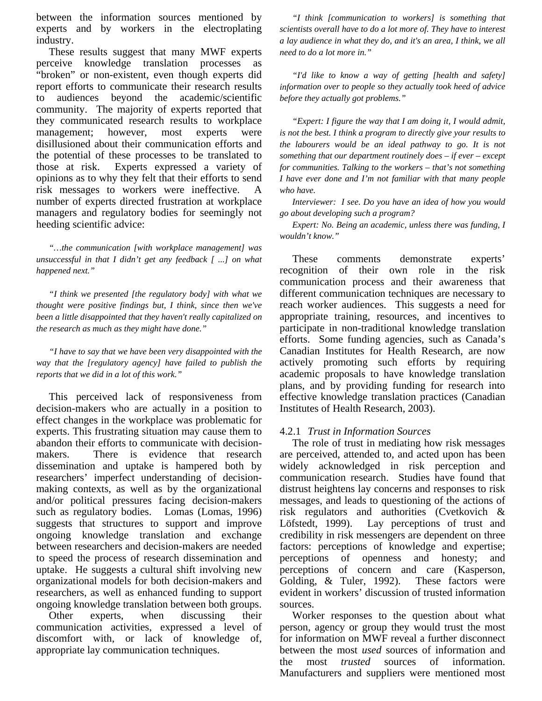between the information sources mentioned by experts and by workers in the electroplating industry.

These results suggest that many MWF experts perceive knowledge translation processes as "broken" or non-existent, even though experts did report efforts to communicate their research results to audiences beyond the academic/scientific community. The majority of experts reported that they communicated research results to workplace management: the potential of these processes to be translated to those at risk. Experts expressed a variety of op inions as to why they felt that their efforts to send managers and regulatory bodies for seemingly not heeding scientific advice: however, most experts were disillusioned about their communication efforts and risk messages to workers were ineffective. A number of experts directed frustration at workplace

*dback [ ...] on what unsuccessful in that I didn't get any fee happene d next." "…the communication [with workplace management] was* 

*"I think we presented [the regulatory body] with what we thought were positive findings but, I think, since then we've been a little disappointed that they haven't really capitalized on the research as much as they might have done."* 

*"I have to say that we have been very disappointed with the way that the [regulatory agency] have failed to publish the reports that we did in a lot of this work."* 

ongoing knowledge translation and exchange between researchers and decision-makers are needed to speed the process of research dissemination and researchers, as well as enhanced funding to support ongoing knowledge translation between both groups. This perceived lack of responsiveness from decision-makers who are actually in a position to effect changes in the workplace was problematic for experts. This frustrating situation may cause them to abandon their efforts to communicate with decisionmakers. There is evidence that research dissemination and uptake is hampered both by researchers' imperfect understanding of decisionmaking contexts, as well as by the organizational and/or political pressures facing decision-makers such as regulatory bodies. Lomas (Lomas, 1996) suggests that structures to support and improve uptake. He suggests a cultural shift involving new organizational models for both decision-makers and

discomfort with, or lack of knowledge of, appropriate lay communication techniques. Other experts, when discussing their communication activities, expressed a level of

 *lot more in." need to do a "I think [communication to workers] is something that scientists overall have to do a lot more of. They have to interest a lay audience in what they do, and it's an area, I think, we all* 

"I'd like to know a way of getting [health and safety] *info rmation over to people so they actually took heed of advice*  before they actually got problems."

*"Expert: I figure the way that I am doing it, I would admit, is not the best. I think a program to directly give your results to the labourers would be an ideal pathway to go. It is not something that our department routinely does – if ever – except for communities. Talking to the workers – that's not something I have ever done and I'm not familiar with that many people who have.* 

*Interviewer: I see. Do you have an idea of how you would go about developing such a program?* 

*Expert: No. Being an academic, unless there was funding, I wouldn't know."* 

the risk communication process and their awareness that These comments demonstrate experts' recognition of their own role different communication techniques are necessary to reach worker audiences. This suggests a need for appropriate training, resources, and incentives to participate in non-traditional knowledge translation efforts. Some funding agencies, such as Canada's Canadian Institutes for Health Research, are now actively promoting such efforts by requiring academic proposals to have knowledge translation plans, and by providing funding for research into effective knowledge translation practices (Canadian Institutes of Health Research, 2003).

#### 4.2.1 *Trust in Information Sources*

The role of trust in mediating how risk messages are perceived, attended to, and acted upon has been widely acknowledged in risk perception and communication research. Studies have found that distrust heightens lay concerns and responses to risk messages, and leads to questioning of the actions of risk regulators and authorities (Cvetkovich & Löfstedt, 1999). Lay perceptions of trust and credibility in risk messengers are dependent on three factors: perceptions of knowledge and expertise; perceptions of openness and honesty; perceptions of concern and care (Kasperson, Golding, & Tuler, 1992). These factors were evident in workers' discussion of trusted information sources.

Worker responses to the question about what person, agency or group they would trust the most for information on MWF reveal a further disconnect between the most *used* sources of information and the most *trusted* sources of information. Manufacturers and suppliers were mentioned most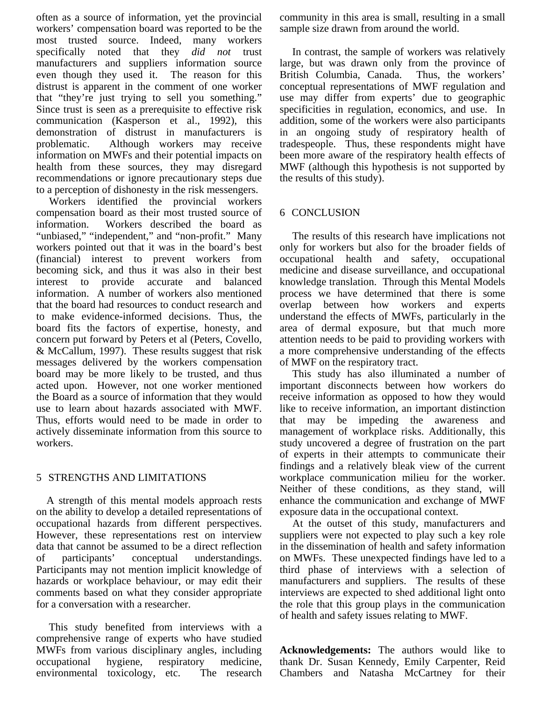often as a source of information, yet the provincial workers' compensation board was reported to be the most trusted source. Indeed, many workers specifically noted that they *did not* trust manufacturers and suppliers information source even though they used it. The reason for this distrust is apparent in the comment of one worker that "they're just trying to sell you something." Since trust is seen as a prerequisite to effective risk communication (Kasperson et al., 1992), this demonstration of distrust in manufacturers is problematic. Although workers may receive information on MWFs and their potential impacts on health from these sources, they may disregard recommendations or ignore precautionary steps due to a perception of dishonesty in the risk messengers.

information. A number of workers also mentioned that the board had resources to conduct research and board fits the factors of expertise, honesty, and concern put forward by Peters et al (Peters, Covello, Workers identified the provincial workers compensation board as their most trusted source of information. Workers described the board as "unbiased," "independent," and "non-profit." Many workers pointed out that it was in the board's best (financial) interest to prevent workers from becoming sick, and thus it was also in their best interest to provide accurate and balanced to make evidence-informed decisions. Thus, the & McCallum, 1997). These results suggest that risk messages delivered by the workers compensation board may be more likely to be trusted, and thus acted upon. However, not one worker mentioned the Board as a source of information that they would use to learn about hazards associated with MWF. Thus, efforts would need to be made in order to actively disseminate information from this source to workers.

# 5 STRENGTHS AND LIMITATIONS

data that cannot be assumed to be a direct reflection of participants' concep A strength of this mental models approach rests on the ability to develop a detailed representations of occupational hazards from different perspectives. However, these representations rest on interview understandings. Participants may not mention implicit knowledge of hazards or workplace behaviour, or may edit their comments based on what they consider appropriate for a conversation with a researcher.

This study benefited from interviews with a comprehensive range of experts who have studied MWFs from various disciplinary angles, including occupational hygiene, respiratory medicine, environmental toxicology, etc. The research

sample size drawn from around the world. community in this area is small, resulting in a small

In contrast, the sample of workers was relatively large, but was drawn only from the province of British Columbia, Canada. Thus, the workers' conceptual representations of MWF regulation and use may differ from experts' due to geographic specificities in regulation, economics, and use. In addition, some of the workers were also participants in an ongoing study of respiratory health of tradespeople. Thus, these respondents might have been more aware of the respiratory health effects of MWF (although this hypothesis is not supported by the results of this study).

# 6 CONCLUSION

The results of this research have implications not only for workers but also for the broader fields of occupational health and safety, occupational medicine and disease surveillance, and occupational knowledge translation. Through this Mental Models process we have determined that there is some overlap between how workers and experts understand the effects of MWFs, particularly in the area of dermal exposure, but that much more attention needs to be paid to providing workers with a more comprehensive understanding of the effects of MWF on the respiratory tract.

findings and a relatively bleak view of the current workplace communication milieu for the worker. This study has also illuminated a number of important disconnects between how workers do receive information as opposed to how they would like to receive information, an important distinction that may be impeding the awareness and management of workplace risks. Additionally, this study uncovered a degree of frustration on the part of experts in their attempts to communicate their Neither of these conditions, as they stand, will enhance the communication and exchange of MWF exposure data in the occupational context.

on MWFs. These unexpected findings have led to a third phase of interviews with a selection of manufacturers and suppliers. The results of these interviews are expected to shed additional light onto the role that this group plays in the communication of health and safety issues relating to MWF. At the outset of this study, manufacturers and suppliers were not expected to play such a key role in the dissemination of health and safety information

**Acknowledgements:** The authors would like to thank Dr. Susan Kennedy, Emily Carpenter, Reid Chambers and Natasha McCartney for their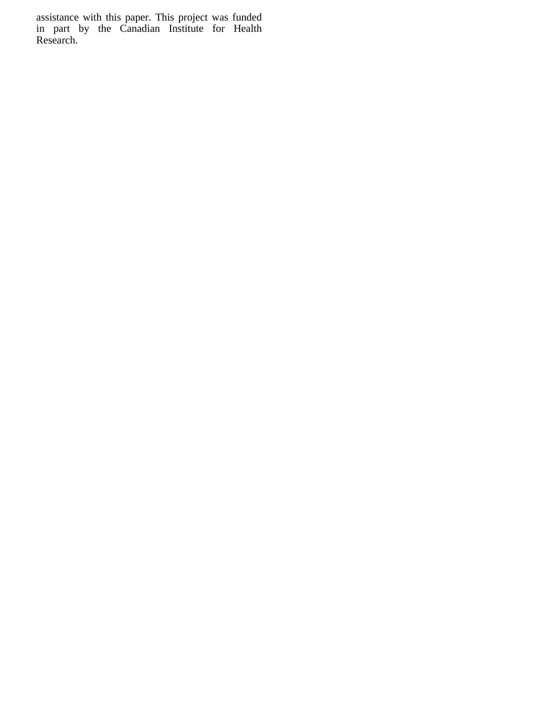assistance with this paper. This project was funded in part by the Canadian Institute for Health Research.